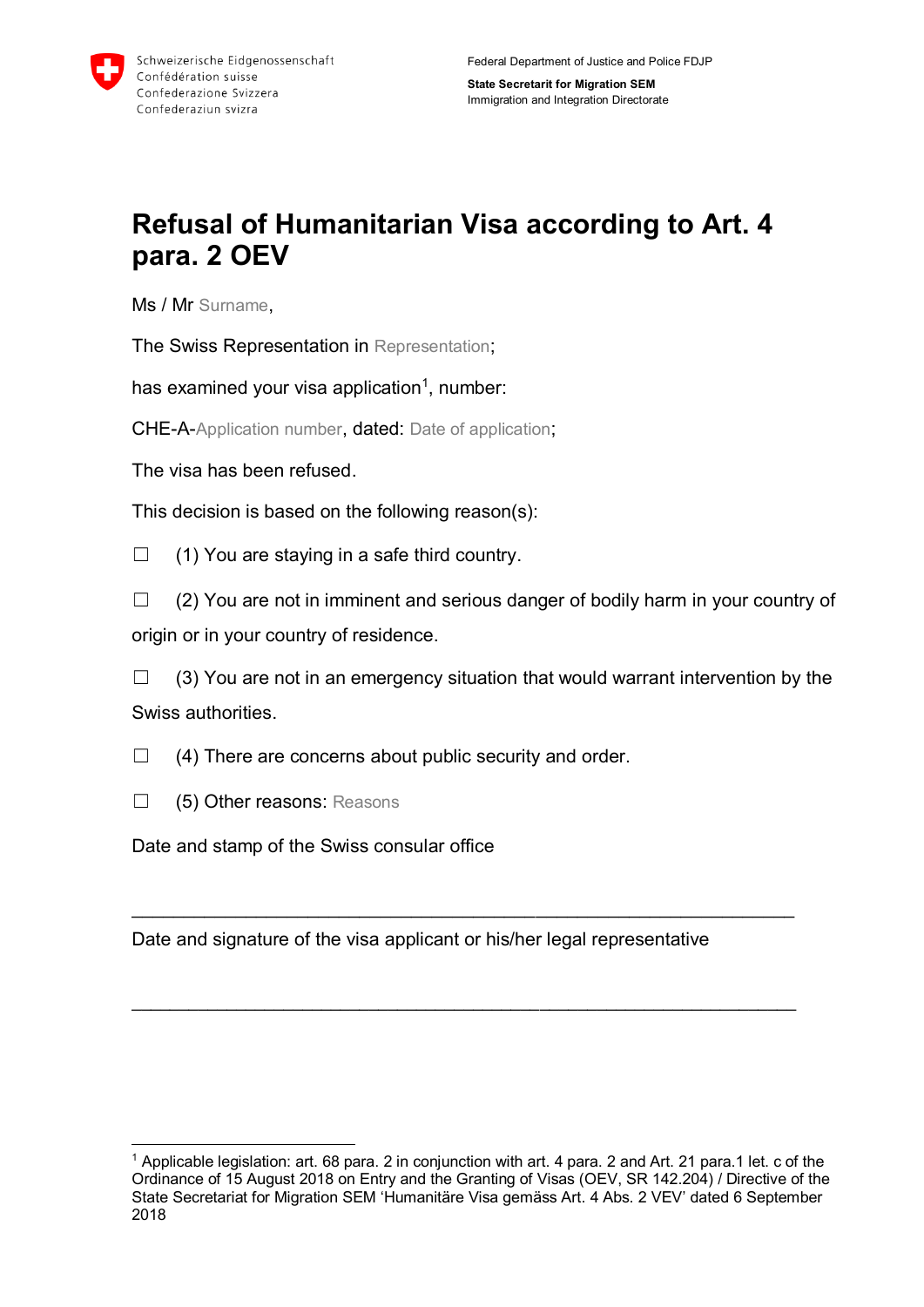**State Secretarit for Migration SEM** Immigration and Integration Directorate

## **Refusal of Humanitarian Visa according to Art. 4 para. 2 OEV**

Ms / Mr Surname,

The Swiss Representation in Representation;

has examined your visa application<sup>1</sup>, number:

CHE-A-Application number, dated: Date of application;

The visa has been refused.

This decision is based on the following reason(s):

 $\Box$  (1) You are staying in a safe third country.

 $\Box$  (2) You are not in imminent and serious danger of bodily harm in your country of origin or in your country of residence.

 $\Box$  (3) You are not in an emergency situation that would warrant intervention by the Swiss authorities.

 $\Box$  (4) There are concerns about public security and order.

□ (5) Other reasons: Reasons

 $\overline{a}$ 

Date and stamp of the Swiss consular office

Date and signature of the visa applicant or his/her legal representative

 $\mathcal{L}_\mathcal{L} = \{ \mathcal{L}_\mathcal{L} = \{ \mathcal{L}_\mathcal{L} = \{ \mathcal{L}_\mathcal{L} = \{ \mathcal{L}_\mathcal{L} = \{ \mathcal{L}_\mathcal{L} = \{ \mathcal{L}_\mathcal{L} = \{ \mathcal{L}_\mathcal{L} = \{ \mathcal{L}_\mathcal{L} = \{ \mathcal{L}_\mathcal{L} = \{ \mathcal{L}_\mathcal{L} = \{ \mathcal{L}_\mathcal{L} = \{ \mathcal{L}_\mathcal{L} = \{ \mathcal{L}_\mathcal{L} = \{ \mathcal{L}_\mathcal{$ 

 $\mathcal{L}_\text{max}$  , and the contribution of the contribution of the contribution of the contribution of the contribution of the contribution of the contribution of the contribution of the contribution of the contribution of t

<sup>1</sup> Applicable legislation: art. 68 para. 2 in conjunction with art. 4 para. 2 and Art. 21 para.1 let. c of the Ordinance of 15 August 2018 on Entry and the Granting of Visas (OEV, SR 142.204) / Directive of the State Secretariat for Migration SEM 'Humanitäre Visa gemäss Art. 4 Abs. 2 VEV' dated 6 September 2018